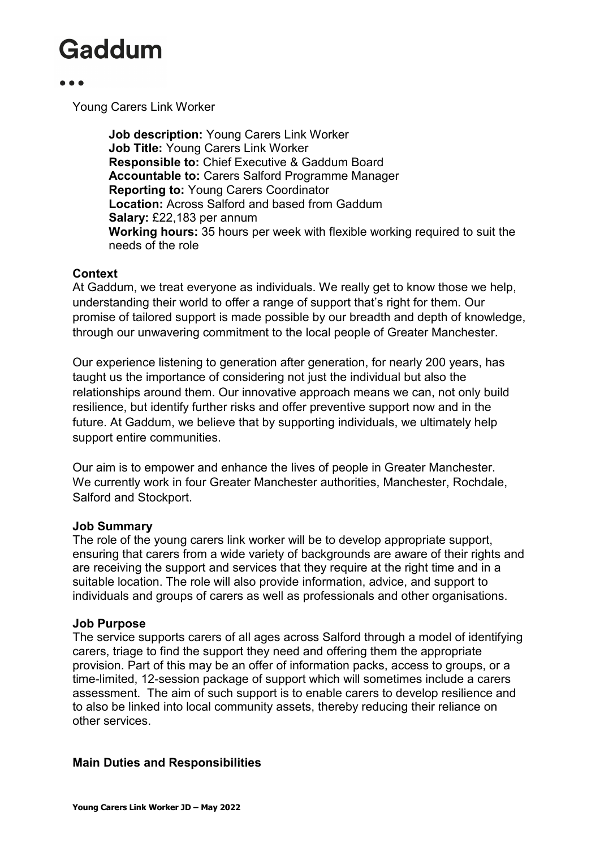Young Carers Link Worker

**Job description:** Young Carers Link Worker **Job Title:** Young Carers Link Worker **Responsible to:** Chief Executive & Gaddum Board **Accountable to:** Carers Salford Programme Manager **Reporting to:** Young Carers Coordinator **Location:** Across Salford and based from Gaddum **Salary:** £22,183 per annum **Working hours:** 35 hours per week with flexible working required to suit the needs of the role

#### **Context**

At Gaddum, we treat everyone as individuals. We really get to know those we help, understanding their world to offer a range of support that's right for them. Our promise of tailored support is made possible by our breadth and depth of knowledge, through our unwavering commitment to the local people of Greater Manchester.

Our experience listening to generation after generation, for nearly 200 years, has taught us the importance of considering not just the individual but also the relationships around them. Our innovative approach means we can, not only build resilience, but identify further risks and offer preventive support now and in the future. At Gaddum, we believe that by supporting individuals, we ultimately help support entire communities.

Our aim is to empower and enhance the lives of people in Greater Manchester. We currently work in four Greater Manchester authorities, Manchester, Rochdale, Salford and Stockport.

#### **Job Summary**

The role of the young carers link worker will be to develop appropriate support, ensuring that carers from a wide variety of backgrounds are aware of their rights and are receiving the support and services that they require at the right time and in a suitable location. The role will also provide information, advice, and support to individuals and groups of carers as well as professionals and other organisations.

#### **Job Purpose**

The service supports carers of all ages across Salford through a model of identifying carers, triage to find the support they need and offering them the appropriate provision. Part of this may be an offer of information packs, access to groups, or a time-limited, 12-session package of support which will sometimes include a carers assessment. The aim of such support is to enable carers to develop resilience and to also be linked into local community assets, thereby reducing their reliance on other services.

#### **Main Duties and Responsibilities**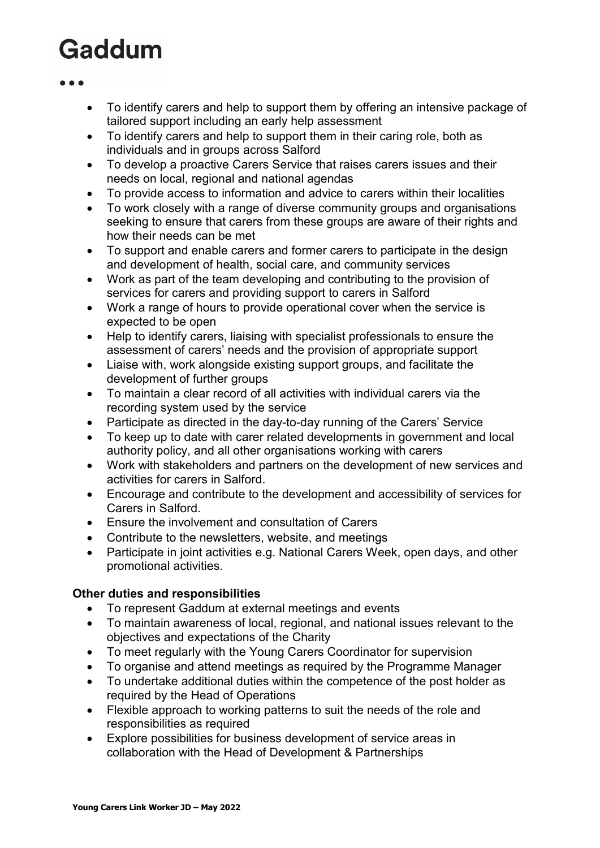- To identify carers and help to support them by offering an intensive package of tailored support including an early help assessment
- To identify carers and help to support them in their caring role, both as individuals and in groups across Salford
- To develop a proactive Carers Service that raises carers issues and their needs on local, regional and national agendas
- To provide access to information and advice to carers within their localities
- To work closely with a range of diverse community groups and organisations seeking to ensure that carers from these groups are aware of their rights and how their needs can be met
- To support and enable carers and former carers to participate in the design and development of health, social care, and community services
- Work as part of the team developing and contributing to the provision of services for carers and providing support to carers in Salford
- Work a range of hours to provide operational cover when the service is expected to be open
- Help to identify carers, liaising with specialist professionals to ensure the assessment of carers' needs and the provision of appropriate support
- Liaise with, work alongside existing support groups, and facilitate the development of further groups
- To maintain a clear record of all activities with individual carers via the recording system used by the service
- Participate as directed in the day-to-day running of the Carers' Service
- To keep up to date with carer related developments in government and local authority policy, and all other organisations working with carers
- Work with stakeholders and partners on the development of new services and activities for carers in Salford.
- Encourage and contribute to the development and accessibility of services for Carers in Salford.
- Ensure the involvement and consultation of Carers
- Contribute to the newsletters, website, and meetings
- Participate in joint activities e.g. National Carers Week, open days, and other promotional activities.

#### **Other duties and responsibilities**

- To represent Gaddum at external meetings and events
- To maintain awareness of local, regional, and national issues relevant to the objectives and expectations of the Charity
- To meet regularly with the Young Carers Coordinator for supervision
- To organise and attend meetings as required by the Programme Manager
- To undertake additional duties within the competence of the post holder as required by the Head of Operations
- Flexible approach to working patterns to suit the needs of the role and responsibilities as required
- Explore possibilities for business development of service areas in collaboration with the Head of Development & Partnerships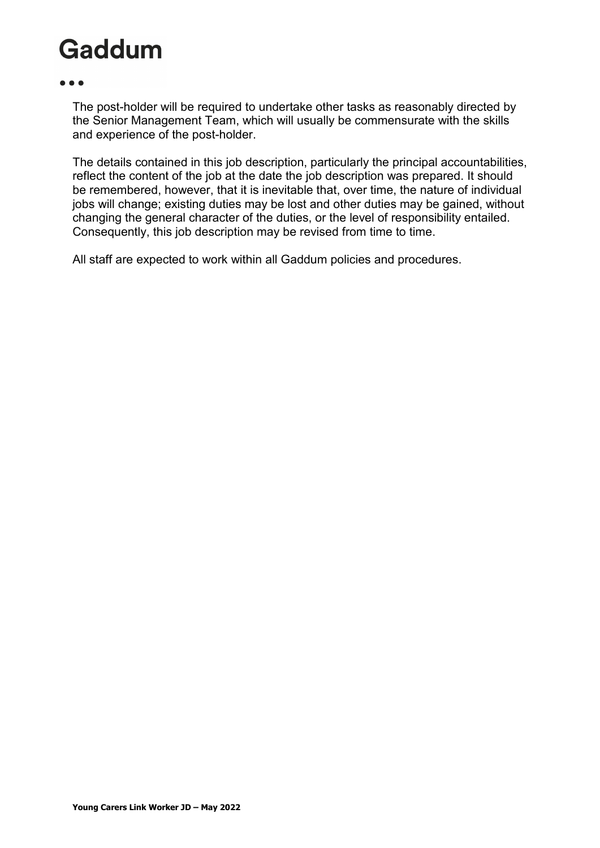The post-holder will be required to undertake other tasks as reasonably directed by the Senior Management Team, which will usually be commensurate with the skills and experience of the post-holder.

The details contained in this job description, particularly the principal accountabilities, reflect the content of the job at the date the job description was prepared. It should be remembered, however, that it is inevitable that, over time, the nature of individual jobs will change; existing duties may be lost and other duties may be gained, without changing the general character of the duties, or the level of responsibility entailed. Consequently, this job description may be revised from time to time.

All staff are expected to work within all Gaddum policies and procedures.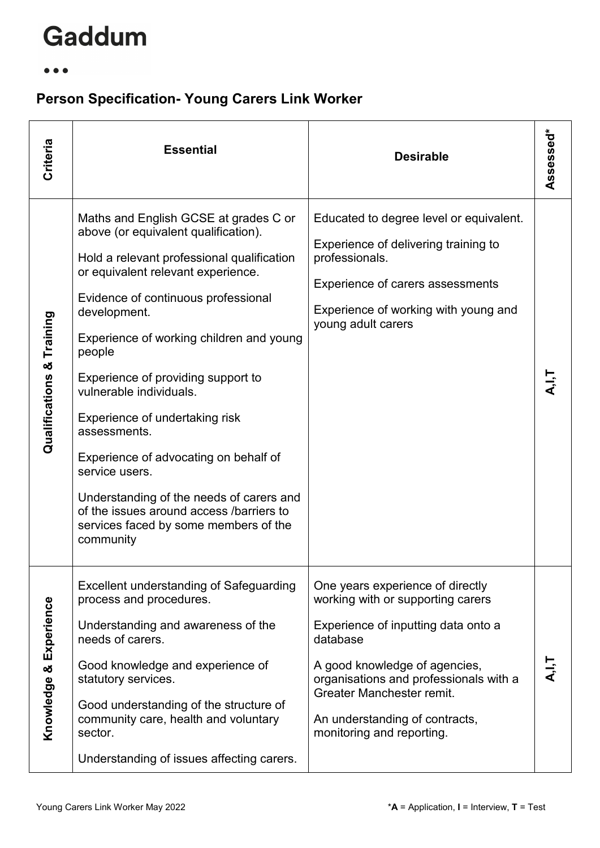#### $\bullet\bullet\bullet$

### **Person Specification- Young Carers Link Worker**

| Criteria                  | <b>Essential</b>                                                                                                                                                                                                                                                                                                                                                                                                                                                                                                                                                                                           | <b>Desirable</b>                                                                                                                                                                                                                                                                                | Assessed* |
|---------------------------|------------------------------------------------------------------------------------------------------------------------------------------------------------------------------------------------------------------------------------------------------------------------------------------------------------------------------------------------------------------------------------------------------------------------------------------------------------------------------------------------------------------------------------------------------------------------------------------------------------|-------------------------------------------------------------------------------------------------------------------------------------------------------------------------------------------------------------------------------------------------------------------------------------------------|-----------|
| Qualifications & Training | Maths and English GCSE at grades C or<br>above (or equivalent qualification).<br>Hold a relevant professional qualification<br>or equivalent relevant experience.<br>Evidence of continuous professional<br>development.<br>Experience of working children and young<br>people<br>Experience of providing support to<br>vulnerable individuals.<br>Experience of undertaking risk<br>assessments.<br>Experience of advocating on behalf of<br>service users.<br>Understanding of the needs of carers and<br>of the issues around access /barriers to<br>services faced by some members of the<br>community | Educated to degree level or equivalent.<br>Experience of delivering training to<br>professionals.<br>Experience of carers assessments<br>Experience of working with young and<br>young adult carers                                                                                             |           |
| Knowledge & Experience    | Excellent understanding of Safeguarding<br>process and procedures.<br>Understanding and awareness of the<br>needs of carers.<br>Good knowledge and experience of<br>statutory services.<br>Good understanding of the structure of<br>community care, health and voluntary<br>sector.<br>Understanding of issues affecting carers.                                                                                                                                                                                                                                                                          | One years experience of directly<br>working with or supporting carers<br>Experience of inputting data onto a<br>database<br>A good knowledge of agencies,<br>organisations and professionals with a<br>Greater Manchester remit.<br>An understanding of contracts,<br>monitoring and reporting. | ー.<br>く   |